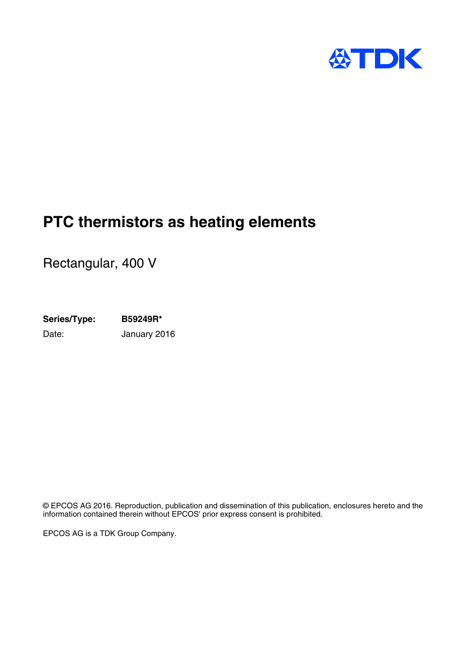

# **PTC thermistors as heating elements**

Rectangular, 400 V

**Series/Type: B59249R\*** Date: January 2016

© EPCOS AG 2016. Reproduction, publication and dissemination of this publication, enclosures hereto and the information contained therein without EPCOS' prior express consent is prohibited.

EPCOS AG is a TDK Group Company.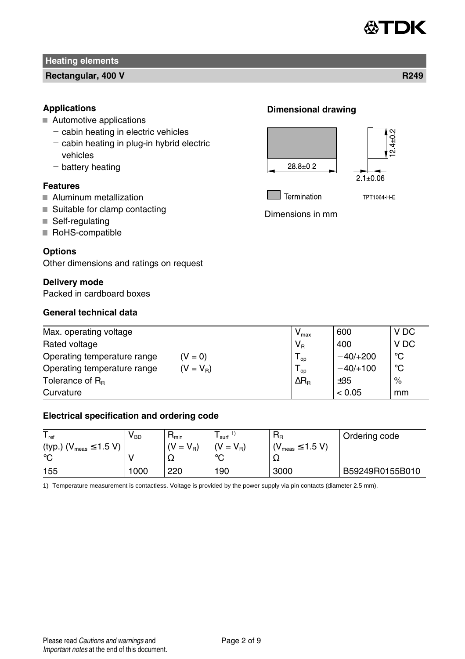

### **Rectangular, 400 V R249**

## **Applications**

- Automotive applications
	- $-$  cabin heating in electric vehicles
	- $-$  cabin heating in plug-in hybrid electric vehicles
	- $-$  battery heating

## **Features**

- **Aluminum metallization**
- Suitable for clamp contacting
- Self-regulating
- RoHS-compatible

## **Options**

Other dimensions and ratings on request

### **Delivery mode**

Packed in cardboard boxes

# **General technical data**

## **Dimensional drawing**





Termination

TPT1064-H-E

Dimensions in mm

| Max. operating voltage                     | $V_{\text{max}}$            | 600        | V DC |
|--------------------------------------------|-----------------------------|------------|------|
| Rated voltage                              | $V_{R}$                     | 400        | V DC |
| Operating temperature range<br>$(V = 0)$   | $\overline{\phantom{a}}$ op | $-40/+200$ | °C   |
| $(V = V_B)$<br>Operating temperature range | $\overline{1}$ op           | $-40/+100$ | °C   |
| Tolerance of $R_{B}$                       | $\Delta R_{\rm B}$          | ±35        | %    |
| Curvature                                  |                             | < 0.05     | mm   |

## **Electrical specification and ordering code**

| <sup>'</sup> ref                | v <sub>BD</sub> | <sup>1</sup> <sub>min</sub> | surf            | $R_{R}$                      | Ordering code   |
|---------------------------------|-----------------|-----------------------------|-----------------|------------------------------|-----------------|
| (typ.) ( $V_{meas} \le 1.5 V$ ) |                 | $(V = V_R)$                 | $V = V_{\rm B}$ | $\sim$ $_{meas} \leq 1.5$ V) |                 |
| $\circ$                         |                 | 34                          | $\circ$         | 77                           |                 |
| 155                             | 000             | 220                         | 190             | 3000                         | B59249R0155B010 |

1) Temperature measurement is contactless. Voltage is provided by the power supply via pin contacts (diameter 2.5 mm).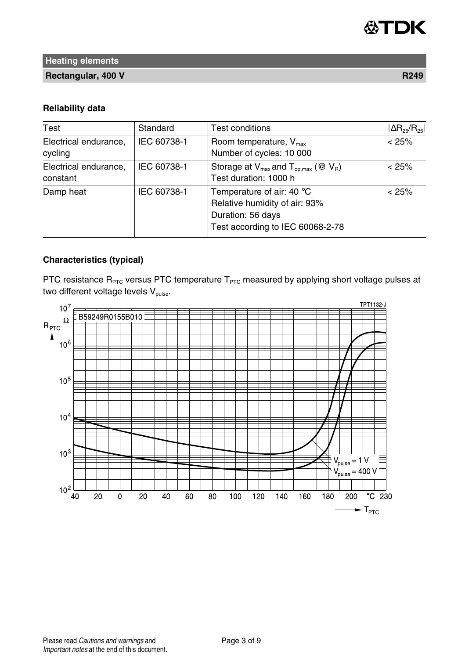

**Rectangular, 400 V R249** 

### **Reliability data**

| Test                              | Standard    | <b>Test conditions</b>                                                                                              | $ \Delta$ R <sub>25</sub> /R <sub>25</sub> |
|-----------------------------------|-------------|---------------------------------------------------------------------------------------------------------------------|--------------------------------------------|
| Electrical endurance,<br>cycling  | IEC 60738-1 | Room temperature, $V_{\text{max}}$<br>Number of cycles: 10 000                                                      | < 25%                                      |
| Electrical endurance,<br>constant | IEC 60738-1 | Storage at $V_{max}$ and $T_{op,max}$ (@ $V_{R}$ )<br>Test duration: 1000 h                                         | < 25%                                      |
| Damp heat                         | IEC 60738-1 | Temperature of air: 40 °C<br>Relative humidity of air: 93%<br>Duration: 56 days<br>Test according to IEC 60068-2-78 | < 25%                                      |

# **Characteristics (typical)**

PTC resistance  $R_{PTC}$  versus PTC temperature  $T_{PTC}$  measured by applying short voltage pulses at two different voltage levels  $V_{\text{pulse}}$ .

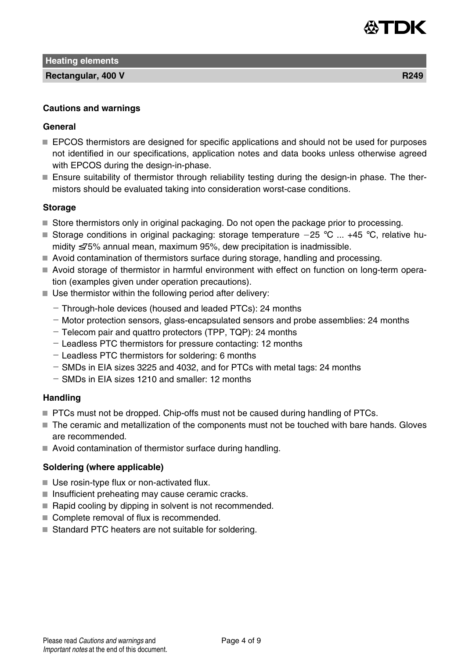

**Rectangular, 400 V R249** 

## **General**

- **EPCOS** thermistors are designed for specific applications and should not be used for purposes not identified in our specifications, application notes and data books unless otherwise agreed with EPCOS during the design-in-phase.
- Ensure suitability of thermistor through reliability testing during the design-in phase. The thermistors should be evaluated taking into consideration worst-case conditions.

# **Storage**

- Store thermistors only in original packaging. Do not open the package prior to processing.
- Storage conditions in original packaging: storage temperature  $-25$  °C ... +45 °C, relative humidity ≤75% annual mean, maximum 95%, dew precipitation is inadmissible.
- Avoid contamination of thermistors surface during storage, handling and processing.
- Avoid storage of thermistor in harmful environment with effect on function on long-term operation (examples given under operation precautions).
- $\blacksquare$  Use thermistor within the following period after delivery:
	- Through-hole devices (housed and leaded PTCs): 24 months
	- Motor protection sensors, glass-encapsulated sensors and probe assemblies: 24 months
	- Telecom pair and quattro protectors (TPP, TQP): 24 months
	- Leadless PTC thermistors for pressure contacting: 12 months
	- Leadless PTC thermistors for soldering: 6 months
	- $-$  SMDs in EIA sizes 3225 and 4032, and for PTCs with metal tags: 24 months
	- SMDs in EIA sizes 1210 and smaller: 12 months

### **Handling**

- **PTCs must not be dropped. Chip-offs must not be caused during handling of PTCs.**
- The ceramic and metallization of the components must not be touched with bare hands. Gloves are recommended.
- Avoid contamination of thermistor surface during handling.

# **Soldering (where applicable)**

- Use rosin-type flux or non-activated flux.
- $\blacksquare$  Insufficient preheating may cause ceramic cracks.
- Rapid cooling by dipping in solvent is not recommended.
- Complete removal of flux is recommended.
- Standard PTC heaters are not suitable for soldering.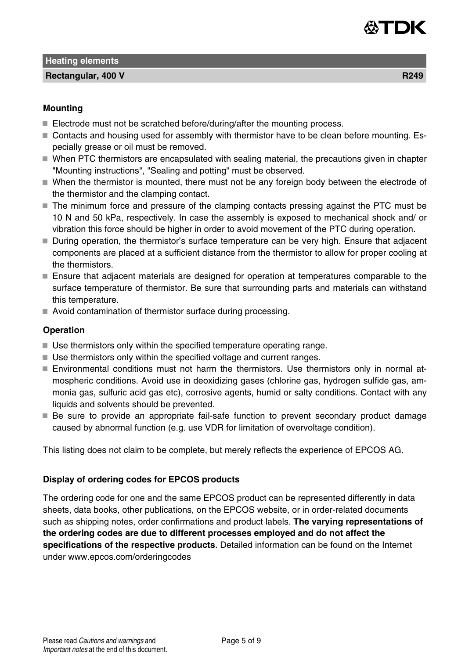

**Rectangular, 400 V R249** 

- Electrode must not be scratched before/during/after the mounting process.
- Contacts and housing used for assembly with thermistor have to be clean before mounting. Especially grease or oil must be removed.
- When PTC thermistors are encapsulated with sealing material, the precautions given in chapter "Mounting instructions", "Sealing and potting" must be observed.
- When the thermistor is mounted, there must not be any foreign body between the electrode of the thermistor and the clamping contact.
- The minimum force and pressure of the clamping contacts pressing against the PTC must be 10 N and 50 kPa, respectively. In case the assembly is exposed to mechanical shock and/ or vibration this force should be higher in order to avoid movement of the PTC during operation.
- During operation, the thermistor's surface temperature can be very high. Ensure that adjacent components are placed at a sufficient distance from the thermistor to allow for proper cooling at the thermistors.
- Ensure that adjacent materials are designed for operation at temperatures comparable to the surface temperature of thermistor. Be sure that surrounding parts and materials can withstand this temperature.
- Avoid contamination of thermistor surface during processing.

## **Operation**

- Use thermistors only within the specified temperature operating range.
- Use thermistors only within the specified voltage and current ranges.
- Environmental conditions must not harm the thermistors. Use thermistors only in normal atmospheric conditions. Avoid use in deoxidizing gases (chlorine gas, hydrogen sulfide gas, ammonia gas, sulfuric acid gas etc), corrosive agents, humid or salty conditions. Contact with any liquids and solvents should be prevented.
- Be sure to provide an appropriate fail-safe function to prevent secondary product damage caused by abnormal function (e.g. use VDR for limitation of overvoltage condition).

This listing does not claim to be complete, but merely reflects the experience of EPCOS AG.

### **Display of ordering codes for EPCOS products**

The ordering code for one and the same EPCOS product can be represented differently in data sheets, data books, other publications, on the EPCOS website, or in order-related documents such as shipping notes, order confirmations and product labels. **The varying representations of the ordering codes are due to different processes employed and do not affect the specifications of the respective products**. Detailed information can be found on the Internet under www.epcos.com/orderingcodes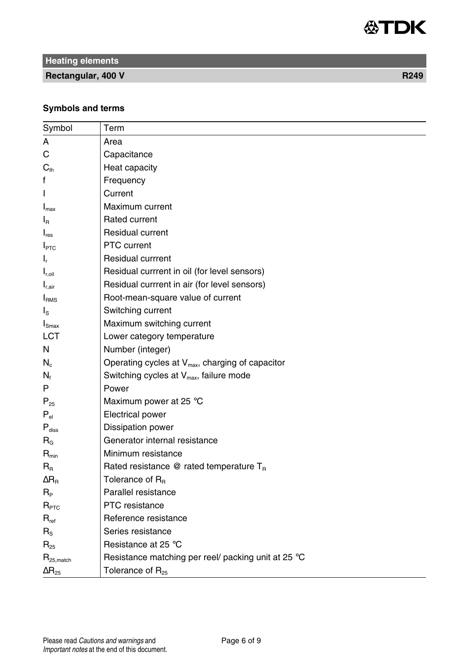

**Rectangular, 400 V R249** 

# **Symbols and terms**

| Symbol                   | Term                                                         |
|--------------------------|--------------------------------------------------------------|
| A                        | Area                                                         |
| С                        | Capacitance                                                  |
| $C_{\text{th}}$          | Heat capacity                                                |
| f                        | Frequency                                                    |
| L                        | Current                                                      |
| $I_{\text{max}}$         | Maximum current                                              |
| $I_{\mathsf{R}}$         | Rated current                                                |
| $I_{res}$                | <b>Residual current</b>                                      |
| $I_{\text{PTC}}$         | PTC current                                                  |
| ı,                       | <b>Residual currrent</b>                                     |
| $I_{r, oil}$             | Residual currrent in oil (for level sensors)                 |
| $I_{r,air}$              | Residual currrent in air (for level sensors)                 |
| I <sub>RMS</sub>         | Root-mean-square value of current                            |
| ls.                      | Switching current                                            |
| $I_{\text{Smax}}$        | Maximum switching current                                    |
| <b>LCT</b>               | Lower category temperature                                   |
| N                        | Number (integer)                                             |
| $N_c$                    | Operating cycles at V <sub>max</sub> , charging of capacitor |
| $N_f$                    | Switching cycles at $V_{max}$ , failure mode                 |
| P                        | Power                                                        |
| $P_{25}$                 | Maximum power at 25 °C                                       |
| $P_{\text{el}}$          | <b>Electrical power</b>                                      |
| $P_{\text{diss}}$        | Dissipation power                                            |
| $R_{G}$                  | Generator internal resistance                                |
| $R_{\text{min}}$         | Minimum resistance                                           |
| $R_{\rm R}$              | Rated resistance $@$ rated temperature $T_R$                 |
| $\Delta R_{\rm B}$       | Tolerance of $R_B$                                           |
| $R_{\rm p}$              | Parallel resistance                                          |
| $R_{\text{\tiny PTC}}$   | PTC resistance                                               |
| $R_{\text{ref}}$         | Reference resistance                                         |
| $R_{\rm S}$              | Series resistance                                            |
| $R_{25}$                 | Resistance at 25 °C                                          |
| $R_{25,match}$           | Resistance matching per reel/ packing unit at 25 °C          |
| $\Delta$ R <sub>25</sub> | Tolerance of $R_{25}$                                        |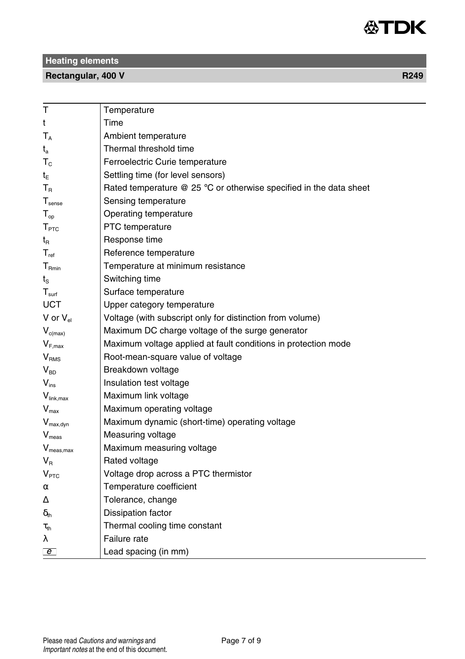

# **Rectangular, 400 V R249**

| т                                        | Temperature                                                          |
|------------------------------------------|----------------------------------------------------------------------|
| t                                        | Time                                                                 |
| $T_A$                                    | Ambient temperature                                                  |
| $t_a$                                    | Thermal threshold time                                               |
| $T_c$                                    | Ferroelectric Curie temperature                                      |
| t <sub>E</sub>                           | Settling time (for level sensors)                                    |
| $T_{\rm R}$                              | Rated temperature $@$ 25 °C or otherwise specified in the data sheet |
| $\mathsf{T}_{\mathsf{sense}}$            | Sensing temperature                                                  |
| $T_{op}$                                 | Operating temperature                                                |
| T <sub>PTC</sub>                         | PTC temperature                                                      |
| $t_{\text{R}}$                           | Response time                                                        |
| $T_{ref}$                                | Reference temperature                                                |
| $T_{Rmin}$                               | Temperature at minimum resistance                                    |
| ts                                       | Switching time                                                       |
| T <sub>surf</sub>                        | Surface temperature                                                  |
| <b>UCT</b>                               | Upper category temperature                                           |
| V or $V_{el}$                            | Voltage (with subscript only for distinction from volume)            |
| $V_{c(max)}$                             | Maximum DC charge voltage of the surge generator                     |
| $\mathsf{V}_{\mathsf{F},\mathsf{max}}$   | Maximum voltage applied at fault conditions in protection mode       |
| V <sub>RMS</sub>                         | Root-mean-square value of voltage                                    |
| $\mathsf{V}_{\mathsf{BD}}$               | Breakdown voltage                                                    |
| $V_{ins}$                                | Insulation test voltage                                              |
| $V_{\text{link,max}}$                    | Maximum link voltage                                                 |
| $V_{\text{max}}$                         | Maximum operating voltage                                            |
| $V_{max, dyn}$                           | Maximum dynamic (short-time) operating voltage                       |
| $V_{meas}$                               | Measuring voltage                                                    |
| $V_{meas,max}$                           | Maximum measuring voltage                                            |
| $V_{\rm R}$                              | Rated voltage                                                        |
| V <sub>PTC</sub>                         | Voltage drop across a PTC thermistor                                 |
| α                                        | Temperature coefficient                                              |
| Δ                                        | Tolerance, change                                                    |
| $\delta_{\scriptscriptstyle{\text{th}}}$ | Dissipation factor                                                   |
| $\tau_\text{th}$                         | Thermal cooling time constant                                        |
| λ                                        | Failure rate                                                         |
| $\overline{e}$                           | Lead spacing (in mm)                                                 |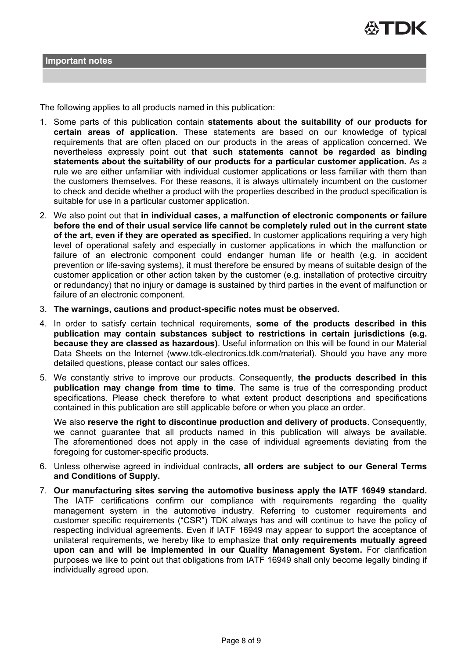

The following applies to all products named in this publication:

- 1. Some parts of this publication contain **statements about the suitability of our products for certain areas of application**. These statements are based on our knowledge of typical requirements that are often placed on our products in the areas of application concerned. We nevertheless expressly point out **that such statements cannot be regarded as binding statements about the suitability of our products for a particular customer application.** As a rule we are either unfamiliar with individual customer applications or less familiar with them than the customers themselves. For these reasons, it is always ultimately incumbent on the customer to check and decide whether a product with the properties described in the product specification is suitable for use in a particular customer application.
- 2. We also point out that **in individual cases, a malfunction of electronic components or failure before the end of their usual service life cannot be completely ruled out in the current state of the art, even if they are operated as specified.** In customer applications requiring a very high level of operational safety and especially in customer applications in which the malfunction or failure of an electronic component could endanger human life or health (e.g. in accident prevention or life-saving systems), it must therefore be ensured by means of suitable design of the customer application or other action taken by the customer (e.g. installation of protective circuitry or redundancy) that no injury or damage is sustained by third parties in the event of malfunction or failure of an electronic component.
- 3. **The warnings, cautions and product-specific notes must be observed.**
- 4. In order to satisfy certain technical requirements, **some of the products described in this publication may contain substances subject to restrictions in certain jurisdictions (e.g. because they are classed as hazardous)**. Useful information on this will be found in our Material Data Sheets on the Internet (www.tdk-electronics.tdk.com/material). Should you have any more detailed questions, please contact our sales offices.
- 5. We constantly strive to improve our products. Consequently, **the products described in this publication may change from time to time**. The same is true of the corresponding product specifications. Please check therefore to what extent product descriptions and specifications contained in this publication are still applicable before or when you place an order.

We also **reserve the right to discontinue production and delivery of products**. Consequently, we cannot guarantee that all products named in this publication will always be available. The aforementioned does not apply in the case of individual agreements deviating from the foregoing for customer-specific products.

- 6. Unless otherwise agreed in individual contracts, **all orders are subject to our General Terms and Conditions of Supply.**
- 7. **Our manufacturing sites serving the automotive business apply the IATF 16949 standard.** The IATF certifications confirm our compliance with requirements regarding the quality management system in the automotive industry. Referring to customer requirements and customer specific requirements ("CSR") TDK always has and will continue to have the policy of respecting individual agreements. Even if IATF 16949 may appear to support the acceptance of unilateral requirements, we hereby like to emphasize that **only requirements mutually agreed upon can and will be implemented in our Quality Management System.** For clarification purposes we like to point out that obligations from IATF 16949 shall only become legally binding if individually agreed upon.